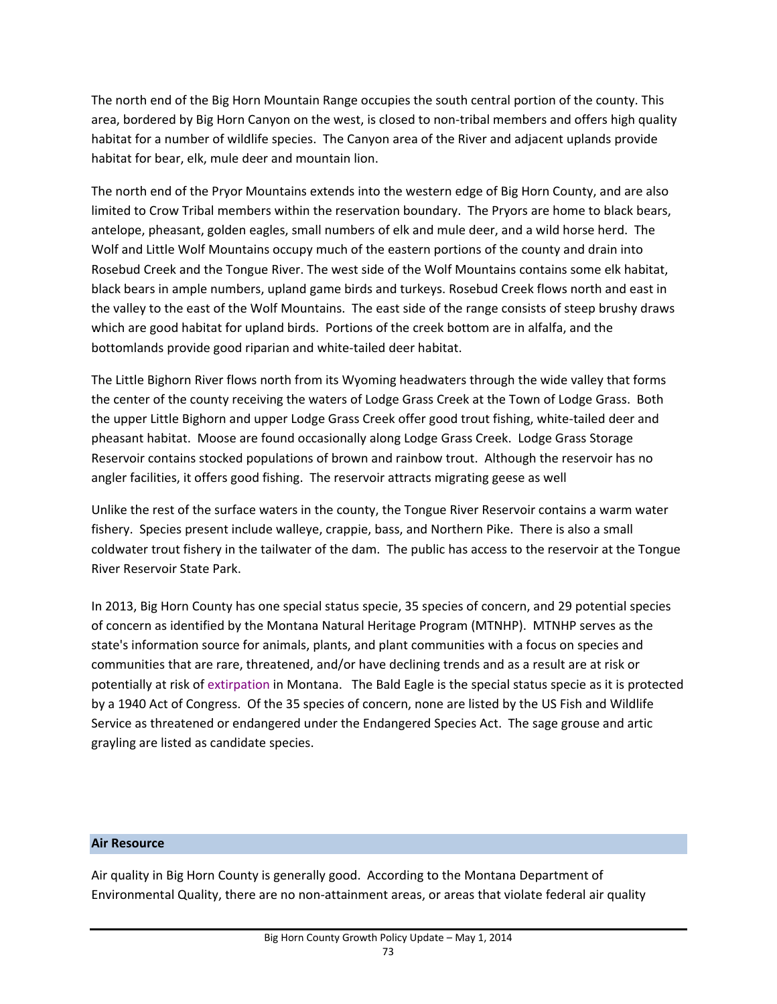The north end of the Big Horn Mountain Range occupies the south central portion of the county. This area, bordered by Big Horn Canyon on the west, is closed to non-tribal members and offers high quality habitat for a number of wildlife species. The Canyon area of the River and adjacent uplands provide habitat for bear, elk, mule deer and mountain lion.

The north end of the Pryor Mountains extends into the western edge of Big Horn County, and are also limited to Crow Tribal members within the reservation boundary. The Pryors are home to black bears, antelope, pheasant, golden eagles, small numbers of elk and mule deer, and a wild horse herd. The Wolf and Little Wolf Mountains occupy much of the eastern portions of the county and drain into Rosebud Creek and the Tongue River. The west side of the Wolf Mountains contains some elk habitat, black bears in ample numbers, upland game birds and turkeys. Rosebud Creek flows north and east in the valley to the east of the Wolf Mountains. The east side of the range consists of steep brushy draws which are good habitat for upland birds. Portions of the creek bottom are in alfalfa, and the bottomlands provide good riparian and white-tailed deer habitat.

The Little Bighorn River flows north from its Wyoming headwaters through the wide valley that forms the center of the county receiving the waters of Lodge Grass Creek at the Town of Lodge Grass. Both the upper Little Bighorn and upper Lodge Grass Creek offer good trout fishing, white‐tailed deer and pheasant habitat. Moose are found occasionally along Lodge Grass Creek. Lodge Grass Storage Reservoir contains stocked populations of brown and rainbow trout. Although the reservoir has no angler facilities, it offers good fishing. The reservoir attracts migrating geese as well

Unlike the rest of the surface waters in the county, the Tongue River Reservoir contains a warm water fishery. Species present include walleye, crappie, bass, and Northern Pike. There is also a small coldwater trout fishery in the tailwater of the dam. The public has access to the reservoir at the Tongue River Reservoir State Park.

In 2013, Big Horn County has one special status specie, 35 species of concern, and 29 potential species of concern as identified by the Montana Natural Heritage Program (MTNHP). MTNHP serves as the state's information source for animals, plants, and plant communities with a focus on species and communities that are rare, threatened, and/or have declining trends and as a result are at risk or potentially at risk of extirpation in Montana. The Bald Eagle is the special status specie as it is protected by a 1940 Act of Congress. Of the 35 species of concern, none are listed by the US Fish and Wildlife Service as threatened or endangered under the Endangered Species Act. The sage grouse and artic grayling are listed as candidate species.

### **Air Resource**

Air quality in Big Horn County is generally good. According to the Montana Department of Environmental Quality, there are no non‐attainment areas, or areas that violate federal air quality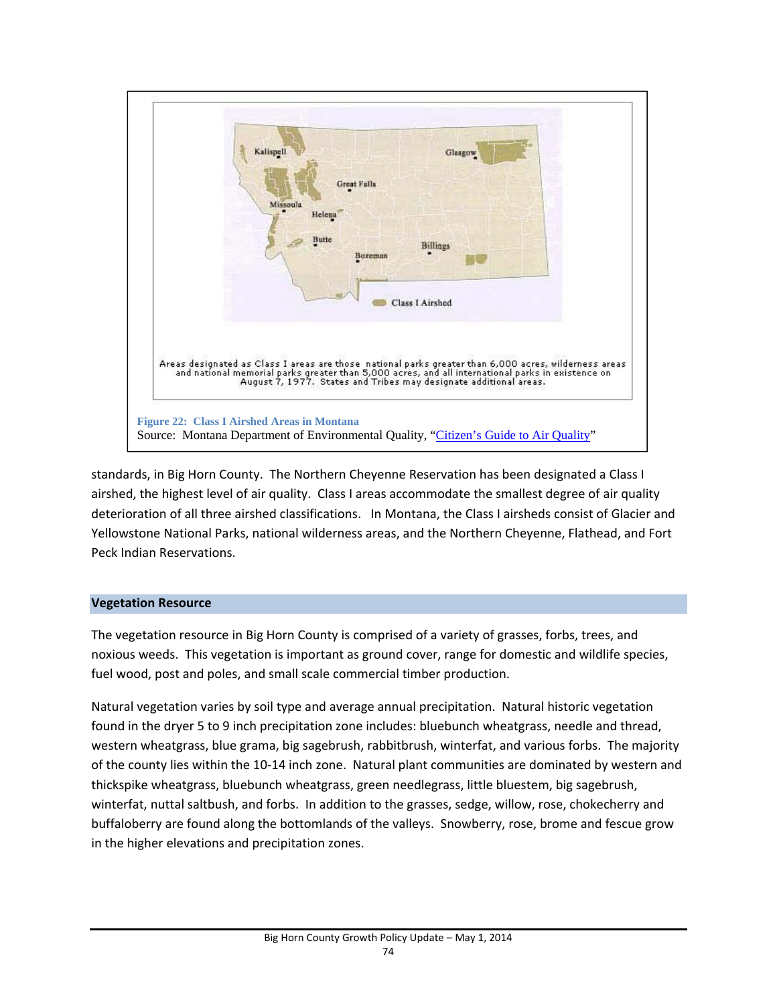

standards, in Big Horn County. The Northern Cheyenne Reservation has been designated a Class I airshed, the highest level of air quality. Class I areas accommodate the smallest degree of air quality deterioration of all three airshed classifications. In Montana, the Class I airsheds consist of Glacier and Yellowstone National Parks, national wilderness areas, and the Northern Cheyenne, Flathead, and Fort Peck Indian Reservations.

# **Vegetation Resource**

The vegetation resource in Big Horn County is comprised of a variety of grasses, forbs, trees, and noxious weeds. This vegetation is important as ground cover, range for domestic and wildlife species, fuel wood, post and poles, and small scale commercial timber production.

Natural vegetation varies by soil type and average annual precipitation. Natural historic vegetation found in the dryer 5 to 9 inch precipitation zone includes: bluebunch wheatgrass, needle and thread, western wheatgrass, blue grama, big sagebrush, rabbitbrush, winterfat, and various forbs. The majority of the county lies within the 10‐14 inch zone. Natural plant communities are dominated by western and thickspike wheatgrass, bluebunch wheatgrass, green needlegrass, little bluestem, big sagebrush, winterfat, nuttal saltbush, and forbs. In addition to the grasses, sedge, willow, rose, chokecherry and buffaloberry are found along the bottomlands of the valleys. Snowberry, rose, brome and fescue grow in the higher elevations and precipitation zones.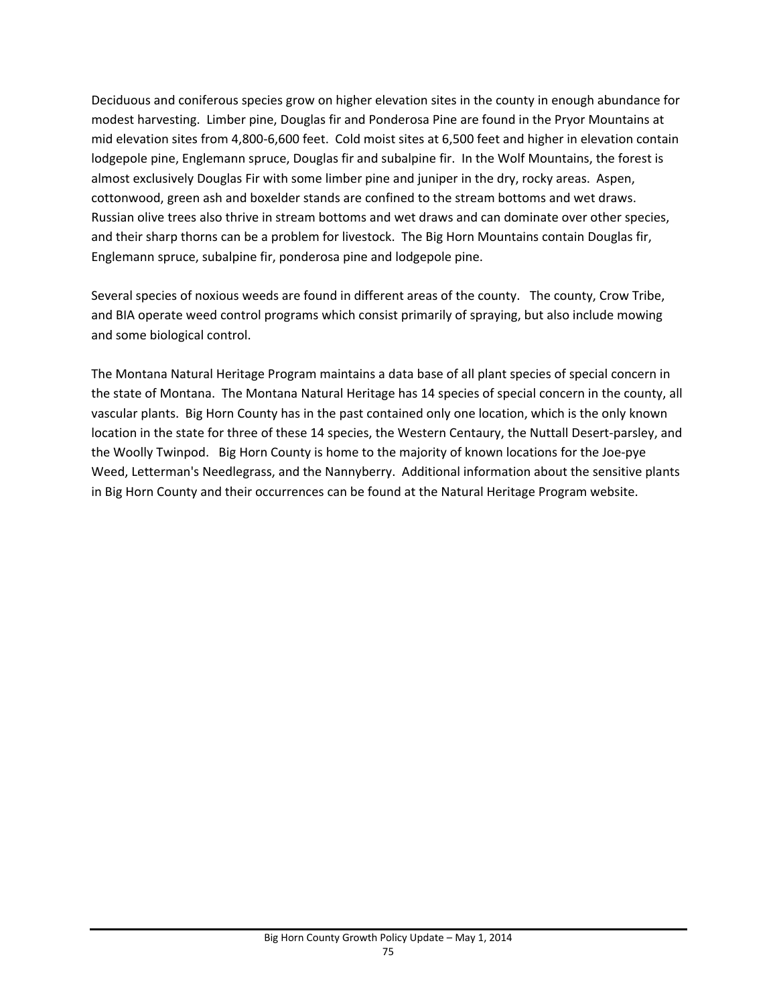Deciduous and coniferous species grow on higher elevation sites in the county in enough abundance for modest harvesting. Limber pine, Douglas fir and Ponderosa Pine are found in the Pryor Mountains at mid elevation sites from 4,800‐6,600 feet. Cold moist sites at 6,500 feet and higher in elevation contain lodgepole pine, Englemann spruce, Douglas fir and subalpine fir. In the Wolf Mountains, the forest is almost exclusively Douglas Fir with some limber pine and juniper in the dry, rocky areas. Aspen, cottonwood, green ash and boxelder stands are confined to the stream bottoms and wet draws. Russian olive trees also thrive in stream bottoms and wet draws and can dominate over other species, and their sharp thorns can be a problem for livestock. The Big Horn Mountains contain Douglas fir, Englemann spruce, subalpine fir, ponderosa pine and lodgepole pine.

Several species of noxious weeds are found in different areas of the county. The county, Crow Tribe, and BIA operate weed control programs which consist primarily of spraying, but also include mowing and some biological control.

The Montana Natural Heritage Program maintains a data base of all plant species of special concern in the state of Montana. The Montana Natural Heritage has 14 species of special concern in the county, all vascular plants. Big Horn County has in the past contained only one location, which is the only known location in the state for three of these 14 species, the Western Centaury, the Nuttall Desert-parsley, and the Woolly Twinpod. Big Horn County is home to the majority of known locations for the Joe-pye Weed, Letterman's Needlegrass, and the Nannyberry. Additional information about the sensitive plants in Big Horn County and their occurrences can be found at the Natural Heritage Program website.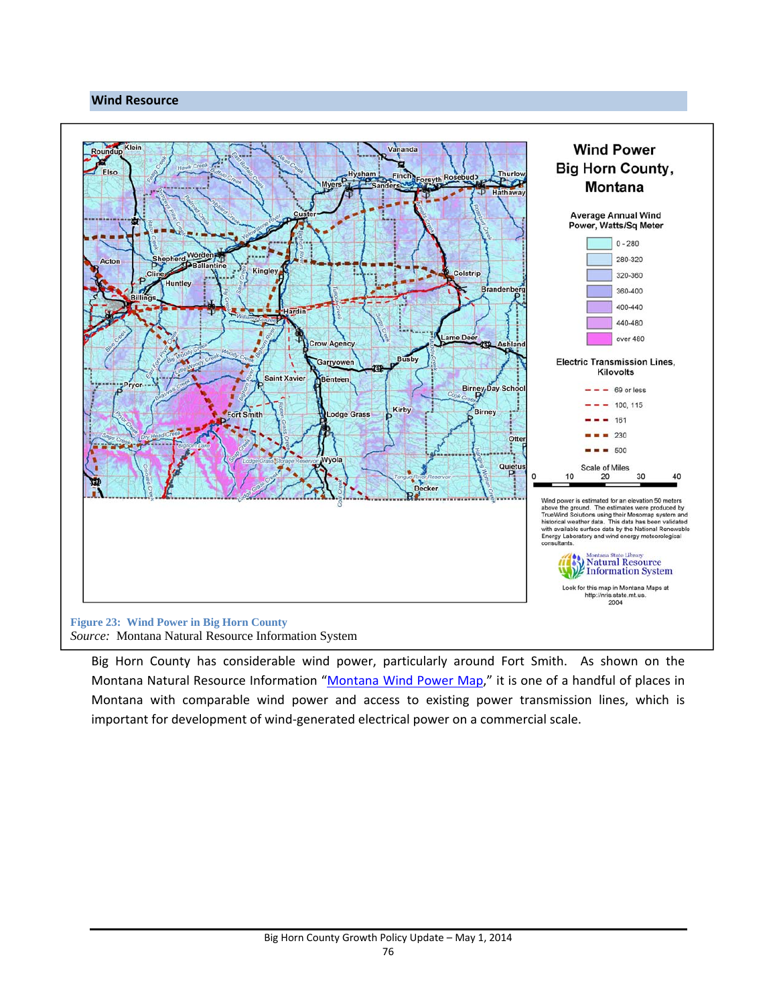### **Wind Resource**



Big Horn County has considerable wind power, particularly around Fort Smith. As shown on the Montana Natural Resource Information "Montana Wind Power Map," it is one of a handful of places in Montana with comparable wind power and access to existing power transmission lines, which is important for development of wind‐generated electrical power on a commercial scale.